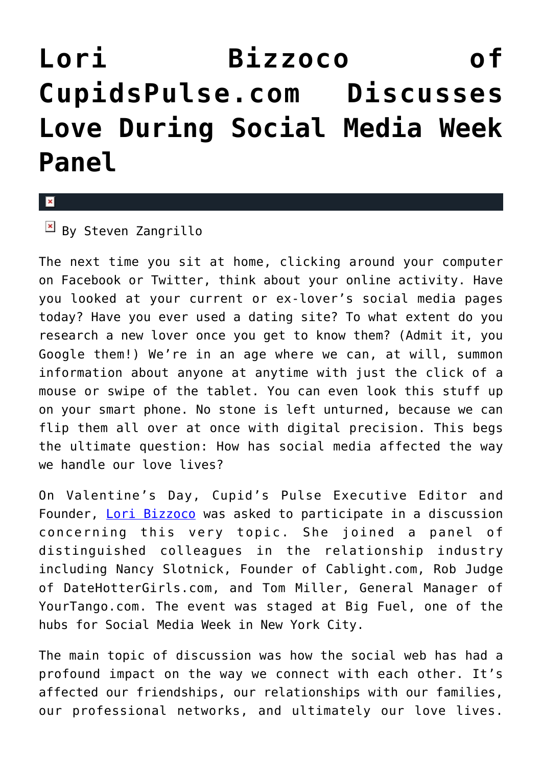## **[Lori Bizzoco of](https://cupidspulse.com/31235/lori-bizzoco-of-cupidspulse-com-discusses-love-during-social-media-week-panel/) [CupidsPulse.com Discusses](https://cupidspulse.com/31235/lori-bizzoco-of-cupidspulse-com-discusses-love-during-social-media-week-panel/) [Love During Social Media Week](https://cupidspulse.com/31235/lori-bizzoco-of-cupidspulse-com-discusses-love-during-social-media-week-panel/) [Panel](https://cupidspulse.com/31235/lori-bizzoco-of-cupidspulse-com-discusses-love-during-social-media-week-panel/)**

 $\overline{B}$  By Steven Zangrillo

The next time you sit at home, clicking around your computer on Facebook or Twitter, think about your online activity. Have you looked at your current or ex-lover's social media pages today? Have you ever used a dating site? To what extent do you research a new lover once you get to know them? (Admit it, you Google them!) We're in an age where we can, at will, summon information about anyone at anytime with just the click of a mouse or swipe of the tablet. You can even look this stuff up on your smart phone. No stone is left unturned, because we can flip them all over at once with digital precision. This begs the ultimate question: How has social media affected the way we handle our love lives?

On Valentine's Day, Cupid's Pulse Executive Editor and Founder, [Lori Bizzoco](http://cupidspulse.com/104596/lori-bizzoco/) was asked to participate in a discussion concerning this very topic. She joined a panel of distinguished colleagues in the relationship industry including Nancy Slotnick, Founder of Cablight.com, Rob Judge of DateHotterGirls.com, and Tom Miller, General Manager of YourTango.com. The event was staged at Big Fuel, one of the hubs for Social Media Week in New York City.

The main topic of discussion was how the social web has had a profound impact on the way we connect with each other. It's affected our friendships, our relationships with our families, our professional networks, and ultimately our love lives.